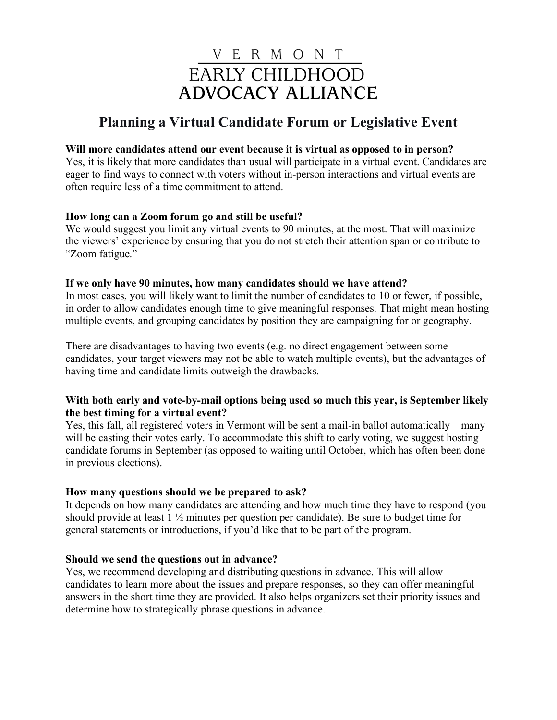# V E R M O N T EARLY CHILDHOOD **ADVOCACY ALLIANCE**

# **Planning a Virtual Candidate Forum or Legislative Event**

# **Will more candidates attend our event because it is virtual as opposed to in person?**

Yes, it is likely that more candidates than usual will participate in a virtual event. Candidates are eager to find ways to connect with voters without in-person interactions and virtual events are often require less of a time commitment to attend.

# **How long can a Zoom forum go and still be useful?**

We would suggest you limit any virtual events to 90 minutes, at the most. That will maximize the viewers' experience by ensuring that you do not stretch their attention span or contribute to "Zoom fatigue."

# **If we only have 90 minutes, how many candidates should we have attend?**

In most cases, you will likely want to limit the number of candidates to 10 or fewer, if possible, in order to allow candidates enough time to give meaningful responses. That might mean hosting multiple events, and grouping candidates by position they are campaigning for or geography.

There are disadvantages to having two events (e.g. no direct engagement between some candidates, your target viewers may not be able to watch multiple events), but the advantages of having time and candidate limits outweigh the drawbacks.

# **With both early and vote-by-mail options being used so much this year, is September likely the best timing for a virtual event?**

Yes, this fall, all registered voters in Vermont will be sent a mail-in ballot automatically – many will be casting their votes early. To accommodate this shift to early voting, we suggest hosting candidate forums in September (as opposed to waiting until October, which has often been done in previous elections).

# **How many questions should we be prepared to ask?**

It depends on how many candidates are attending and how much time they have to respond (you should provide at least 1 ½ minutes per question per candidate). Be sure to budget time for general statements or introductions, if you'd like that to be part of the program.

# **Should we send the questions out in advance?**

Yes, we recommend developing and distributing questions in advance. This will allow candidates to learn more about the issues and prepare responses, so they can offer meaningful answers in the short time they are provided. It also helps organizers set their priority issues and determine how to strategically phrase questions in advance.